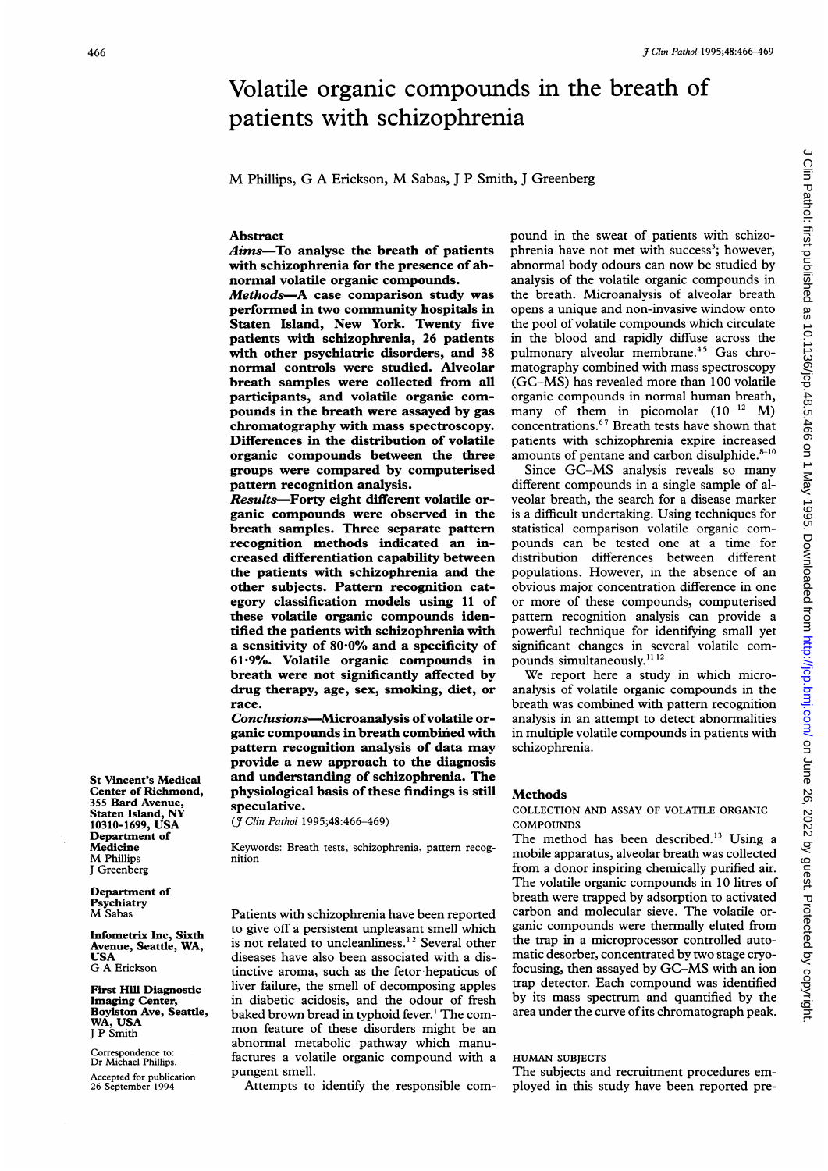# <sup>9 Clin Pathol 1995;48:466-469</sup><br> **Volatile organic compounds in the breath of**<br>
patients with schizophrenia<br>
M Phillips, G A Erickson, M Sabas, J P Smith, J Greenberg<br> **Abstract**<br> **Abstract**<br> **Abstract**<br> **Abstract**<br> **Abstr** Volatile organic compounds in the breath of patients with schizophrenia

M Phillips, G A Erickson, M Sabas, <sup>J</sup> <sup>P</sup> Smith, <sup>J</sup> Greenberg

### Abstract

Aims-To analyse the breath of patients with schizophrenia for the presence of abnormal volatile organic compounds.

Methods-A case comparison study was performed in two community hospitals in Staten Island, New York. Twenty five patients with schizophrenia, 26 patients with other psychiatric disorders, and 38 normal controls were studied. Alveolar breath samples were collected from all participants, and volatile organic compounds in the breath were assayed by gas chromatography with mass spectroscopy. Differences in the distribution of volatile organic compounds between the three groups were compared by computerised pattern recognition analysis.

Results-Forty eight different volatile organic compounds were observed in the breath samples. Three separate pattern recognition methods indicated an increased differentiation capability between the patients with schizophrenia and the other subjects. Pattern recognition category classification models using 11 of these volatile organic compounds identified the patients with schizophrenia with a sensitivity of  $80.0\%$  and a specificity of 61-9%. Volatile organic compounds in breath were not significantly affected by drug therapy, age, sex, smoking, diet, or race.

Conclusions-Microanalysis of volatile organic compounds in breath combined with pattern recognition analysis of data may provide a new approach to the diagnosis and understanding of schizophrenia. The physiological basis of these findings is still speculative.

(J7 Clin Pathol 1995;48:466-469)

Keywords: Breath tests, schizophrenia, pattern recognition

Patients with schizophrenia have been reported to give off a persistent unpleasant smell which is not related to uncleanliness.<sup>12</sup> Several other diseases have also been associated with a distinctive aroma, such as the fetor hepaticus of liver failure, the smell of decomposing apples in diabetic acidosis, and the odour of fresh baked brown bread in typhoid fever.' The common feature of these disorders might be an abnormal metabolic pathway which manufactures a volatile organic compound with a pungent smell.

Attempts to identify the responsible com-

pound in the sweat of patients with schizophrenia have not met with success<sup>3</sup>; however, abnormal body odours can now be studied by analysis of the volatile organic compounds in the breath. Microanalysis of alveolar breath opens a unique and non-invasive window onto the pool of volatile compounds which circulate in the blood and rapidly diffuse across the pulmonary alveolar membrane.45 Gas chromatography combined with mass spectroscopy (GC-MS) has revealed more than 100 volatile organic compounds in normal human breath, many of them in picomolar  $(10^{-12} \text{ M})$ concentrations.<sup>67</sup> Breath tests have shown that patients with schizophrenia expire increased amounts of pentane and carbon disulphide.<sup>8-10</sup>

Since GC-MS analysis reveals so many different compounds in a single sample of alveolar breath, the search for a disease marker is a difficult undertaking. Using techniques for statistical comparison volatile organic compounds can be tested one at a time for distribution differences between different populations. However, in the absence of an obvious major concentration difference in one or more of these compounds, computerised pattern recognition analysis can provide a powerful technique for identifying small yet significant changes in several volatile compounds simultaneously.<sup>11 12</sup>

We report here <sup>a</sup> study in which microanalysis of volatile organic compounds in the breath was combined with pattern recognition analysis in an attempt to detect abnormalities in multiple volatile compounds in patients with schizophrenia.

### Methods

COLLECTION AND ASSAY OF VOLATILE ORGANIC **COMPOUNDS** 

The method has been described.'3 Using a mobile apparatus, alveolar breath was collected from a donor inspiring chemically purified air. The volatile organic compounds in 10 litres of breath were trapped by adsorption to activated carbon and molecular sieve. The volatile organic compounds were thermally eluted from the trap in a microprocessor controlled automatic desorber, concentrated by two stage cryofocusing, then assayed by GC-MS with an ion trap detector. Each compound was identified by its mass spectrum and quantified by the area under the curve of its chromatograph peak.

### HUMAN SUBJECTS

The subjects and recruitment procedures employed in this study have been reported pre-

St Vincent's Medical Center of Richmond, 355 Bard Avenue, Staten Island, NY 10310-1699, USA Department of Medicine M Phillips J Greenberg

Department of Psychiatry M Sabas

Infometrix Inc, Sixth Avenue, Seattle, WA, USA G A Erickson

First Hill Diagnostic Imaging Center, Boylston Ave, Seattle, WA, USA<br>J P Smith

Correspondence to: Dr Michael Phillips. Accepted for publication 26 September 1994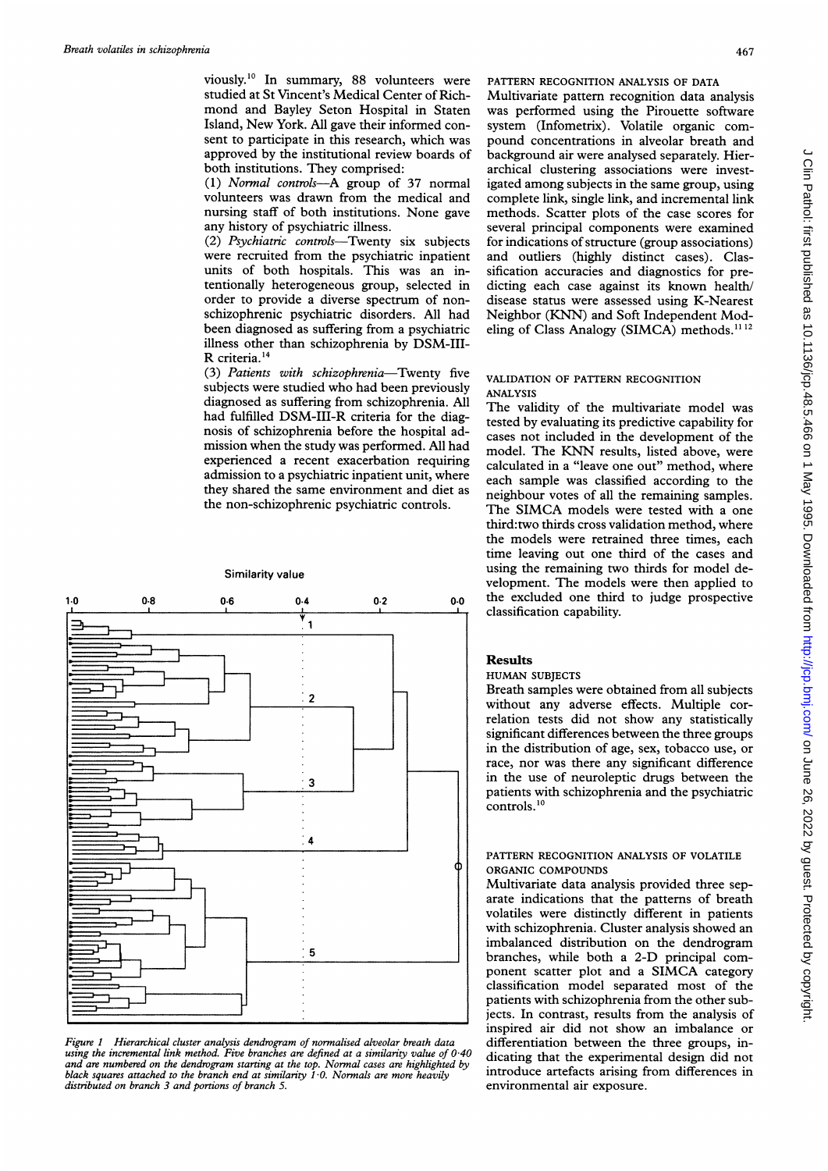viously.<sup>10</sup> In summary, 88 volunteers were studied at St Vincent's Medical Center of Richmond and Bayley Seton Hospital in Staten Island, New York. All gave their informed consent to participate in this research, which was approved by the institutional review boards of both institutions. They comprised:

(1) Normal controls-A group of 37 normal volunteers was drawn from the medical and nursing staff of both institutions. None gave any history of psychiatric illness.

(2) Psychiatric controls-Twenty six subjects were recruited from the psychiatric inpatient units of both hospitals. This was an intentionally heterogeneous group, selected in order to provide a diverse spectrum of nonschizophrenic psychiatric disorders. All had been diagnosed as suffering from a psychiatric illness other than schizophrenia by DSM-III-R criteria.'4

(3) Patients with schizophrenia-Twenty five subjects were studied who had been previously diagnosed as suffering from schizophrenia. All had fulfilled DSM-III-R criteria for the diagnosis of schizophrenia before the hospital admission when the study was performed. All had experienced a recent exacerbation requiring admission to a psychiatric inpatient unit, where they shared the same environment and diet as the non-schizophrenic psychiatric controls.

0.2  $0.0$ 1.0 08 0-6 0.4  $\mathbf{1}$  $\overline{2}$ 3  $\boldsymbol{4}$ 5

Figure <sup>1</sup> Hierarchical cluster analysis dendrogram of normalised alveolar breath data using the incremental link method. Five branches are defined at a similarity value of 0 40 and are numbered on the dendrogram starting at the top. Normal cases are highlighted by black squares attached to the branch end at similarity  $\hat{I}$  0. Normals are more heavily distributed on branch 3 and portions of branch 5.

PATTERN RECOGNITION ANALYSIS OF DATA

Multivariate pattern recognition data analysis was performed using the Pirouette software system (Infometrix). Volatile organic compound concentrations in alveolar breath and background air were analysed separately. Hierarchical clustering associations were investigated among subjects in the same group, using complete link, single link, and incremental link methods. Scatter plots of the case scores for several principal components were examined for indications of structure (group associations) and outliers (highly distinct cases). Classification accuracies and diagnostics for predicting each case against its known health/ disease status were assessed using K-Nearest Neighbor (KNN) and Soft Independent Modeling of Class Analogy (SIMCA) methods.<sup>1112</sup>

### VALIDATION OF PATTERN RECOGNITION ANALYSIS

Results

controls.<sup>10</sup>

HUMAN SUBJECTS

The validity of the multivariate model was tested by evaluating its predictive capability for cases not included in the development of the model. The KNN results, listed above, were calculated in a "leave one out" method, where each sample was classified according to the neighbour votes of all the remaining samples. The SIMCA models were tested with <sup>a</sup> one third:two thirds cross validation method, where the models were retrained three times, each time leaving out one third of the cases and using the remaining two thirds for model development. The models were then applied to the excluded one third to judge prospective classification capability.

Breath samples were obtained from all subjects without any adverse effects. Multiple correlation tests did not show any statistically significant differences between the three groups in the distribution of age, sex, tobacco use, or race, nor was there any significant difference in the use of neuroleptic drugs between the patients with schizophrenia and the psychiatric



Similarity value

# PATTERN RECOGNITION ANALYSIS OF VOLATILE ORGANIC COMPOUNDS

Multivariate data analysis provided three separate indications that the patterns of breath volatiles were distinctly different in patients with schizophrenia. Cluster analysis showed an imbalanced distribution on the dendrogram branches, while both a 2-D principal component scatter plot and <sup>a</sup> SIMCA category classification model separated most of the patients with schizophrenia from the other subjects. In contrast, results from the analysis of inspired air did not show an imbalance or differentiation between the three groups, indicating that the experimental design did not introduce artefacts arising from differences in environmental air exposure.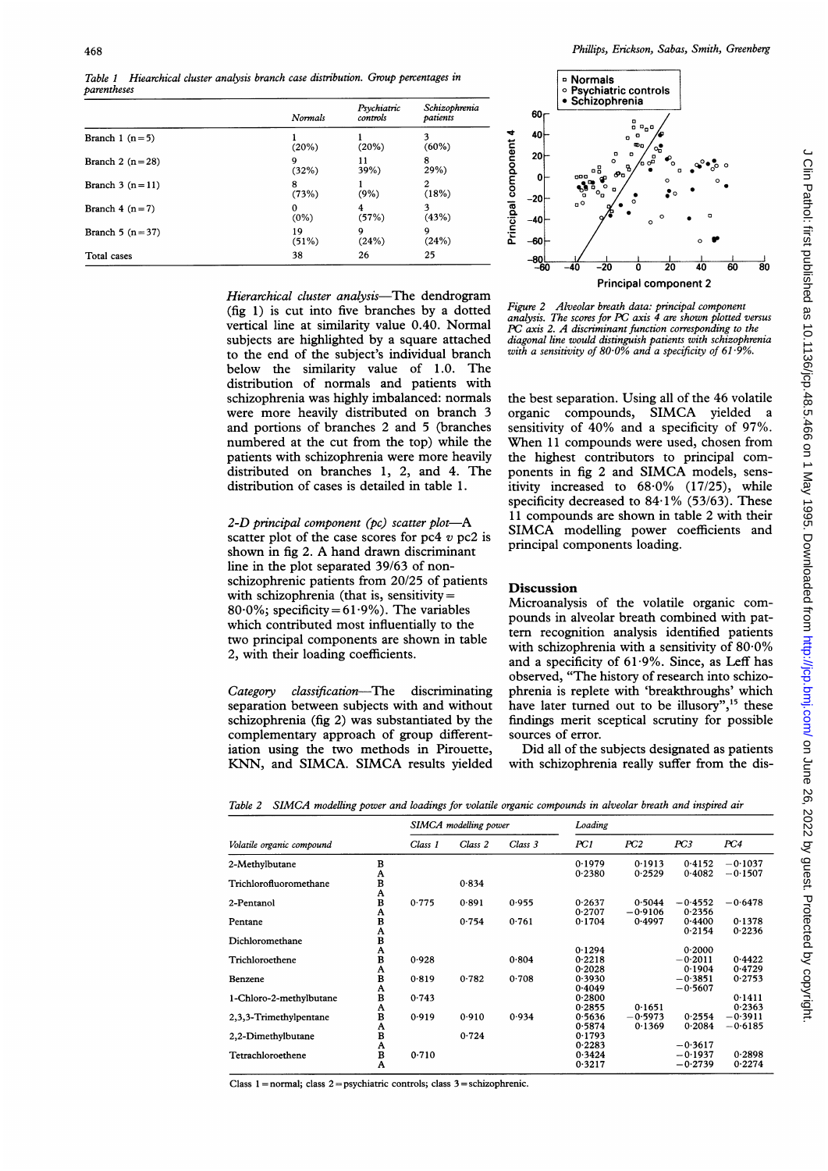Table <sup>1</sup> Hiearchical cluster analysis branch case distribution. Group percentages in parentheses

|                   | Normals      | Psychiatric<br>controls | Schizophrenia<br>patients<br>3<br>(60%) |  |
|-------------------|--------------|-------------------------|-----------------------------------------|--|
| Branch 1 $(n=5)$  | (20%)        | (20%)                   |                                         |  |
| Branch 2 $(n=28)$ | 9<br>(32%)   | 11<br>39%)              | 8<br>29%)                               |  |
| Branch $3(n=11)$  | 8<br>(73%)   | (9%)                    | 2<br>(18%)                              |  |
| Branch 4 $(n=7)$  | 0<br>$(0\%)$ | 4<br>(57%)              | 3<br>(43%)                              |  |
| Branch 5 $(n=37)$ | 19<br>(51%)  | 9<br>(24%)              | 9<br>(24%)                              |  |
| Total cases       | 38           | 26                      | 25                                      |  |

Hierarchical cluster analysis-The dendrogram (fig 1) is cut into five branches by a dotted vertical line at similarity value 0.40. Normal subjects are highlighted by a square attached to the end of the subject's individual branch below the similarity value of 1.0. The distribution of normals and patients with schizophrenia was highly imbalanced: normals were more heavily distributed on branch 3 and portions of branches 2 and 5 (branches numbered at the cut from the top) while the patients with schizophrenia were more heavily distributed on branches 1, 2, and 4. The distribution of cases is detailed in table 1.

 $2-D$  principal component (pc) scatter plot- $A$ scatter plot of the case scores for pc4  $v$  pc2 is shown in fig 2. A hand drawn discriminant line in the plot separated 39/63 of nonschizophrenic patients from 20/25 of patients with schizophrenia (that is, sensitivity= 80.0%; specificity =  $61.9\%$ ). The variables which contributed most influentially to the two principal components are shown in table 2, with their loading coefficients.

Category classification-The discriminating separation between subjects with and without schizophrenia (fig 2) was substantiated by the complementary approach of group differentiation using the two methods in Pirouette, KNN, and SIMCA. SIMCA results yielded



Figure 2 Alveolar breath data: principal component analysis. The scores for PC axis <sup>4</sup> are shown plotted versus PC axis 2. A discriminant function corresponding to the diagonal line would distinguish patients with schizophrenia with a sensitivity of 80-0% and a specificity of 61 9%.

the best separation. Using all of the 46 volatile organic compounds, SIMCA yielded <sup>a</sup> sensitivity of 40% and <sup>a</sup> specificity of 97%. When <sup>11</sup> compounds were used, chosen from the highest contributors to principal components in fig <sup>2</sup> and SIMCA models, sensitivity increased to 68.0% (17/25), while specificity decreased to  $84.1\%$  (53/63). These 11 compounds are shown in table 2 with their SIMCA modelling power coefficients and principal components loading.

## **Discussion**

 $\overline{\phantom{a}}$ 

Microanalysis of the volatile organic compounds in alveolar breath combined with pattern recognition analysis identified patients with schizophrenia with a sensitivity of 80-0% and a specificity of 61-9%. Since, as Leff has observed, "The history of research into schizophrenia is replete with 'breakthroughs' which have later turned out to be illusory",<sup>15</sup> these findings merit sceptical scrutiny for possible sources of error.

Did all of the subjects designated as patients with schizophrenia really suffer from the dis-

Table 2 SIMCA modelling power and loadings for volatile organic compounds in alveolar breath and inspired air

|                                  |       | SIMCA modelling power |         |         | Loading |                 |           |           |
|----------------------------------|-------|-----------------------|---------|---------|---------|-----------------|-----------|-----------|
| Volatile organic compound        |       | Class 1               | Class 2 | Class 3 | PC1     | PC <sub>2</sub> | PC3       | PC4       |
| 2-Methvlbutane                   | B     |                       |         |         | 0.1979  | 0.1913          | 0.4152    | $-0.1037$ |
|                                  | A     |                       |         |         | 0.2380  | 0.2529          | 0.4082    | $-0.1507$ |
| Trichlorofluoromethane           | B     |                       | 0.834   |         |         |                 |           |           |
|                                  | A     |                       |         |         |         |                 |           |           |
| 2-Pentanol                       | B     | 0.775                 | 0.891   | 0.955   | 0.2637  | 0.5044          | $-0.4552$ | $-0.6478$ |
|                                  | A     |                       |         |         | 0.2707  | $-0.9106$       | 0.2356    |           |
| B<br>Pentane<br>Α                |       | 0.754                 | 0.761   | 0.1704  | 0.4997  | 0.4400          | 0.1378    |           |
|                                  |       |                       |         |         |         |                 | 0.2154    | 0.2236    |
| Dichloromethane                  | B     |                       |         |         |         |                 |           |           |
|                                  |       |                       |         | 0.1294  |         | 0.2000          |           |           |
| A<br>B<br>Trichloroethene<br>A   | 0.928 |                       | 0.804   | 0.2218  |         | $-0.2011$       | 0.4422    |           |
|                                  |       |                       |         |         | 0.2028  |                 | 0.1904    | 0.4729    |
| Benzene                          | B     | 0.819                 | 0.782   | 0.708   | 0.3930  |                 | $-0.3851$ | 0.2753    |
|                                  | A     |                       |         |         | 0.4049  |                 | $-0.5607$ |           |
| B<br>1-Chloro-2-methylbutane     |       | 0.743                 |         |         | 0.2800  |                 |           | 0.1411    |
|                                  | A     |                       |         |         | 0.2855  | 0.1651          |           | 0.2363    |
| B<br>2,3,3-Trimethylpentane<br>A |       | 0.919                 | 0.910   | 0.934   | 0.5636  | $-0.5973$       | 0.2554    | $-0.3911$ |
|                                  |       |                       |         |         | 0.5874  | 0.1369          | 0.2084    | $-0.6185$ |
| B<br>2,2-Dimethylbutane<br>Α     |       |                       | 0.724   |         | 0.1793  |                 |           |           |
|                                  |       |                       |         |         | 0.2283  |                 | $-0.3617$ |           |
| Tetrachloroethene                | B     | 0.710                 |         |         | 0.3424  |                 | $-0.1937$ | 0.2898    |
|                                  | A     |                       |         |         | 0.3217  |                 | $-0.2739$ | 0.2274    |

Class <sup>1</sup> = nornal; class 2= psychiatric controls; class <sup>3</sup> = schizophrenic.